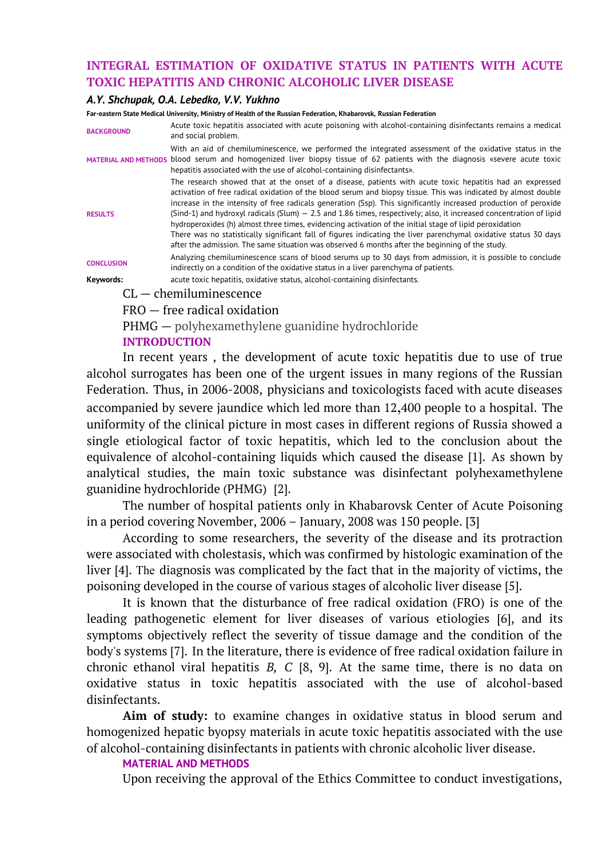# **INTEGRAL ESTIMATION OF OXIDATIVE STATUS IN PATIENTS WITH ACUTE TOXIC HEPATITIS AND CHRONIC ALCOHOLIC LIVER DISEASE**

### *A.Y. Shchupak, O.A. Lebedko, V.V. Yukhno*

**Far-eastern State Medical University, Ministry of Health of the Russian Federation, Khabarovsk, Russian Federation**

| <b>BACKGROUND</b>              | Acute toxic hepatitis associated with acute poisoning with alcohol-containing disinfectants remains a medical<br>and social problem.                                                                                                                                                                                                                                                                                                                                                                                                                                                                                                                                                                                                                                                                      |  |  |  |  |  |  |  |
|--------------------------------|-----------------------------------------------------------------------------------------------------------------------------------------------------------------------------------------------------------------------------------------------------------------------------------------------------------------------------------------------------------------------------------------------------------------------------------------------------------------------------------------------------------------------------------------------------------------------------------------------------------------------------------------------------------------------------------------------------------------------------------------------------------------------------------------------------------|--|--|--|--|--|--|--|
|                                | With an aid of chemiluminescence, we performed the integrated assessment of the oxidative status in the<br>MATERIAL AND METHODS blood serum and homogenized liver biopsy tissue of 62 patients with the diagnosis «severe acute toxic<br>hepatitis associated with the use of alcohol-containing disinfectants».                                                                                                                                                                                                                                                                                                                                                                                                                                                                                          |  |  |  |  |  |  |  |
| <b>RESULTS</b>                 | The research showed that at the onset of a disease, patients with acute toxic hepatitis had an expressed<br>activation of free radical oxidation of the blood serum and biopsy tissue. This was indicated by almost double<br>increase in the intensity of free radicals generation (Ssp). This significantly increased production of peroxide<br>(Sind-1) and hydroxyl radicals (Slum) $-$ 2.5 and 1.86 times, respectively; also, it increased concentration of lipid<br>hydroperoxides (h) almost three times, evidencing activation of the initial stage of lipid peroxidation<br>There was no statistically significant fall of figures indicating the liver parenchymal oxidative status 30 days<br>after the admission. The same situation was observed 6 months after the beginning of the study. |  |  |  |  |  |  |  |
| <b>CONCLUSION</b>              | Analyzing chemiluminescence scans of blood serums up to 30 days from admission, it is possible to conclude<br>indirectly on a condition of the oxidative status in a liver parenchyma of patients.                                                                                                                                                                                                                                                                                                                                                                                                                                                                                                                                                                                                        |  |  |  |  |  |  |  |
| Keywords:                      | acute toxic hepatitis, oxidative status, alcohol-containing disinfectants.                                                                                                                                                                                                                                                                                                                                                                                                                                                                                                                                                                                                                                                                                                                                |  |  |  |  |  |  |  |
|                                | $CL$ - chemiluminescence                                                                                                                                                                                                                                                                                                                                                                                                                                                                                                                                                                                                                                                                                                                                                                                  |  |  |  |  |  |  |  |
| $FRO$ – free radical oxidation |                                                                                                                                                                                                                                                                                                                                                                                                                                                                                                                                                                                                                                                                                                                                                                                                           |  |  |  |  |  |  |  |

PHMG — polyhexamethylene guanidine hydrochloride

## **INTRODUCTION**

In recent years , the development of acute toxic hepatitis due to use of true alcohol surrogates has been one of the urgent issues in many regions of the Russian Federation. Thus, in 2006-2008, physicians and toxicologists faced with acute diseases accompanied by severe jaundice which led more than 12,400 people to a hospital. The uniformity of the clinical picture in most cases in different regions of Russia showed a single etiological factor of toxic hepatitis, which led to the conclusion about the equivalence of alcohol-containing liquids which caused the disease [1]. As shown by analytical studies, the main toxic substance was disinfectant polyhexamethylene guanidine hydrochloride (PHMG) [2].

The number of hospital patients only in Khabarovsk Center of Acute Poisoning in a period covering November, 2006 – January, 2008 was 150 people. [3]

According to some researchers, the severity of the disease and its protraction were associated with cholestasis, which was confirmed by histologic examination of the liver [4]. The diagnosis was complicated by the fact that in the majority of victims, the poisoning developed in the course of various stages of alcoholic liver disease [5].

It is known that the disturbance of free radical oxidation (FRO) is one of the leading pathogenetic element for liver diseases of various etiologies [6], and its symptoms objectively reflect the severity of tissue damage and the condition of the body's systems [7]. In the literature, there is evidence of free radical oxidation failure in chronic ethanol viral hepatitis *B, C* [8, 9]. At the same time, there is no data on oxidative status in toxic hepatitis associated with the use of alcohol-based disinfectants.

**Aim of study:** to examine changes in oxidative status in blood serum and homogenized hepatic byopsy materials in acute toxic hepatitis associated with the use of alcohol-containing disinfectants in patients with chronic alcoholic liver disease.

## **MATERIAL AND METHODS**

Upon receiving the approval of the Ethics Committee to conduct investigations,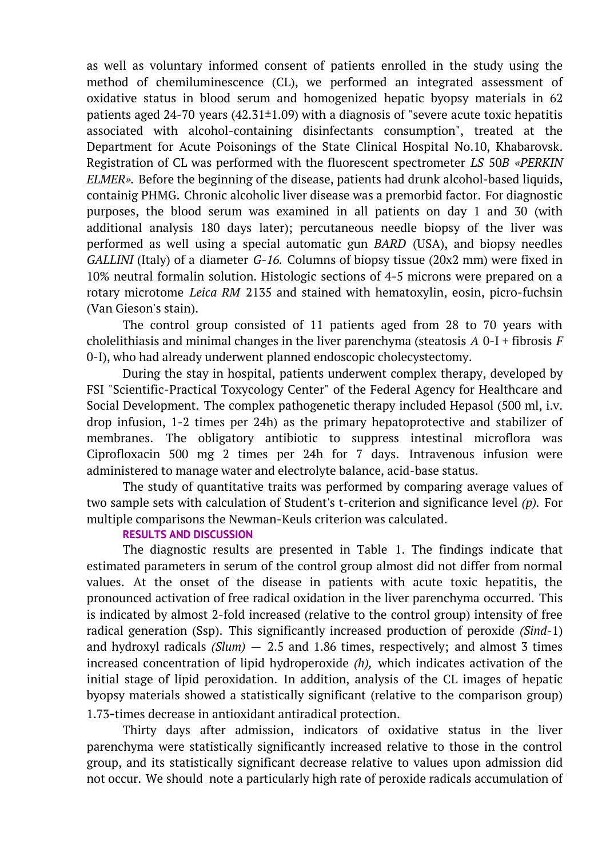as well as voluntary informed consent of patients enrolled in the study using the method of chemiluminescence (CL), we performed an integrated assessment of oxidative status in blood serum and homogenized hepatic byopsy materials in 62 patients aged 24-70 years  $(42.31\pm1.09)$  with a diagnosis of "severe acute toxic hepatitis associated with alcohol-containing disinfectants consumption", treated at the Department for Acute Poisonings of the State Clinical Hospital No.10, Khabarovsk. Registration of CL was performed with the fluorescent spectrometer *LS* 50*B «PERKIN ELMER».* Before the beginning of the disease, patients had drunk alcohol-based liquids, containig PHMG. Chronic alcoholic liver disease was a premorbid factor. For diagnostic purposes, the blood serum was examined in all patients on day 1 and 30 (with additional analysis 180 days later); percutaneous needle biopsy of the liver was performed as well using a special automatic gun *BARD* (USA), and biopsy needles *GALLINI* (Italy) of a diameter *G-16.* Columns of biopsy tissue (20x2 mm) were fixed in 10% neutral formalin solution. Histologic sections of 4-5 microns were prepared on a rotary microtome *Leica RM* 2135 and stained with hematoxylin, eosin, picro-fuchsin (Van Gieson's stain).

The control group consisted of 11 patients aged from 28 to 70 years with cholelithiasis and minimal changes in the liver parenchyma (steatosis *A* 0-I + fibrosis *F* 0-I), who had already underwent planned endoscopic cholecystectomy.

During the stay in hospital, patients underwent complex therapy, developed by FSI "Scientific-Practical Toxycology Center" of the Federal Agency for Healthcare and Social Development. The complex pathogenetic therapy included Hepasol (500 ml, i.v. drop infusion, 1-2 times per 24h) as the primary hepatoprotective and stabilizer of membranes. The obligatory antibiotic to suppress intestinal microflora was Ciprofloxacin 500 mg 2 times per 24h for 7 days. Intravenous infusion were administered to manage water and electrolyte balance, acid-base status.

The study of quantitative traits was performed by comparing average values of two sample sets with calculation of Student's t-criterion and significance level *(p).* For multiple comparisons the Newman-Keuls criterion was calculated.

# **RESULTS AND DISCUSSION**

The diagnostic results are presented in Table 1. The findings indicate that estimated parameters in serum of the control group almost did not differ from normal values. At the onset of the disease in patients with acute toxic hepatitis, the pronounced activation of free radical oxidation in the liver parenchyma occurred. This is indicated by almost 2-fold increased (relative to the control group) intensity of free radical generation (Ssp). This significantly increased production of peroxide *(Sind*-1) and hydroxyl radicals *(Slum)* — 2.5 and 1.86 times, respectively; and almost 3 times increased concentration of lipid hydroperoxide *(h),* which indicates activation of the initial stage of lipid peroxidation. In addition, analysis of the CL images of hepatic byopsy materials showed a statistically significant (relative to the comparison group) 1.73-times decrease in antioxidant antiradical protection.

Thirty days after admission, indicators of oxidative status in the liver parenchyma were statistically significantly increased relative to those in the control group, and its statistically significant decrease relative to values upon admission did not occur. We should note a particularly high rate of peroxide radicals accumulation of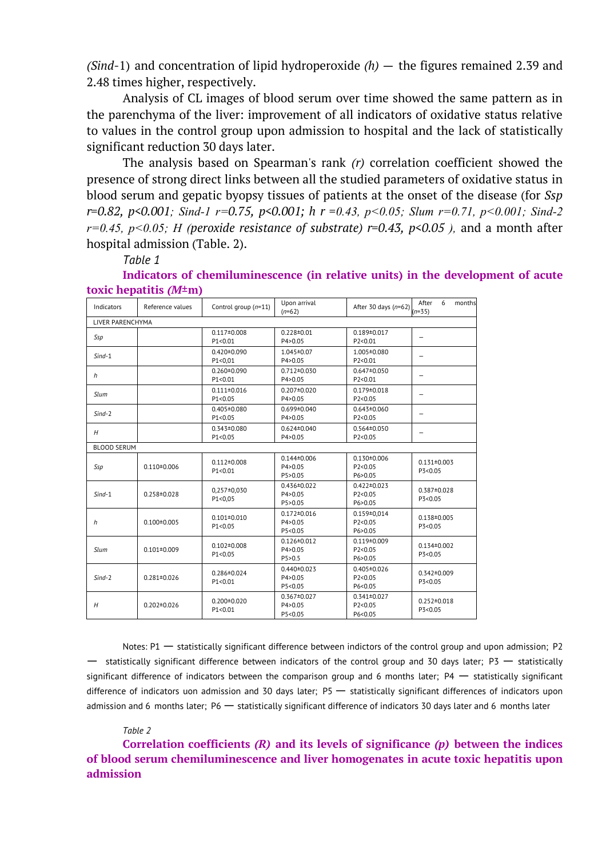*(Sind*-1) and concentration of lipid hydroperoxide *(h)* — the figures remained 2.39 and 2.48 times higher, respectively.

Analysis of CL images of blood serum over time showed the same pattern as in the parenchyma of the liver: improvement of all indicators of oxidative status relative to values in the control group upon admission to hospital and the lack of statistically significant reduction 30 days later.

The analysis based on Spearman's rank *(r)* correlation coefficient showed the presence of strong direct links between all the studied parameters of oxidative status in blood serum and gepatic byopsy tissues of patients at the onset of the disease (for *Ssp r=0.82, p<0.001; Sind-1 r=0.75, p<0.001; h r =0.43, p<0.05; Slum r=0.71, p<0.001; Sind-2 r=0.45, p<0.05; H (peroxide resistance of substrate) r=0.43, p<0.05 ),* and a month after hospital admission (Table. 2).

### *Table 1*

**Indicators of chemiluminescence (in relative units) in the development of acute toxic hepatitis** *(M***±m)**

| Indicators         | Reference values  | Control group $(n=11)$         | Upon arrival<br>$(n=62)$                   | After 30 days (n=62) $(n=55)$             | After<br>6<br>months         |  |  |
|--------------------|-------------------|--------------------------------|--------------------------------------------|-------------------------------------------|------------------------------|--|--|
| LIVER PARENCHYMA   |                   |                                |                                            |                                           |                              |  |  |
| Ssp                |                   | $0.117 \pm 0.008$<br>P1 < 0.01 | $0.228 \pm 0.01$<br>P4>0.05                | $0.189 \pm 0.017$<br>P2<0.01              | $\overline{\phantom{0}}$     |  |  |
| $Sind-1$           |                   | $0.420 \pm 0.090$<br>P1<0,01   | 1.045 ± 0.07<br>P4>0.05                    | 1.005±0.080<br>P2<0.01                    |                              |  |  |
| h                  |                   | $0.260 \pm 0.090$<br>P1 < 0.01 | $0.712 \pm 0.030$<br>P4>0.05               | $0.647 \pm 0.050$<br>P2<0.01              | $\overline{\phantom{0}}$     |  |  |
| Slum               |                   | $0.111 \pm 0.016$<br>P1 < 0.05 | $0.207 \pm 0.020$<br>P4>0.05               | $0.179 \pm 0.018$<br>P2<0.05              | $\overline{\phantom{0}}$     |  |  |
| $Sind-2$           |                   | $0.405 \pm 0.080$<br>P1 < 0.05 | $0.699 \pm 0.040$<br>P4>0.05               | $0.643 \pm 0.060$<br>P2<0.05              |                              |  |  |
| H                  |                   | $0.343 \pm 0.080$<br>P1 < 0.05 | $0.624 \pm 0.040$<br>P4>0.05               | $0.564 \pm 0.050$<br>P2<0.05              |                              |  |  |
| <b>BLOOD SERUM</b> |                   |                                |                                            |                                           |                              |  |  |
| Ssp                | $0.110 \pm 0.006$ | $0.112 \pm 0.008$<br>P1 < 0.01 | $0.144 \pm 0.006$<br>P4 > 0.05<br>P5>0.05  | $0.130 \pm 0.006$<br>P2 < 0.05<br>P6>0.05 | $0.131 \pm 0.003$<br>P3<0.05 |  |  |
| $Sind-1$           | $0.258 \pm 0.028$ | $0.257 \pm 0.030$<br>P1<0,05   | $0.436 \pm 0.022$<br>P4>0.05<br>P5>0.05    | $0.422 \pm 0.023$<br>P2<0.05<br>P6>0.05   | $0.387 \pm 0.028$<br>P3<0.05 |  |  |
| h                  | $0.100 \pm 0.005$ | $0.101 \pm 0.010$<br>P1 < 0.05 | $0.172 \pm 0.016$<br>P4>0.05<br>P5<0.05    | $0.159 \pm 0.014$<br>P2<0.05<br>P6>0.05   | $0.138 \pm 0.005$<br>P3<0.05 |  |  |
| Slum               | $0.101 \pm 0.009$ | $0.102 \pm 0.008$<br>P1 < 0.05 | $0.126 \pm 0.012$<br>P4 > 0.05<br>P5 > 0.5 | $0.119 \pm 0.009$<br>P2<0.05<br>P6>0.05   | $0.134 \pm 0.002$<br>P3<0.05 |  |  |
| $Sind-2$           | $0.281 \pm 0.026$ | $0.286 \pm 0.024$<br>P1 < 0.01 | $0.440 \pm 0.023$<br>P4>0.05<br>P5<0.05    | $0.405 \pm 0.026$<br>P2<0.05<br>P6<0.05   | $0.342 \pm 0.009$<br>P3<0.05 |  |  |
| H                  | $0.202 \pm 0.026$ | $0.200 \pm 0.020$<br>P1 < 0.01 | $0.367 \pm 0.027$<br>P4>0.05<br>P5<0.05    | $0.341 \pm 0.027$<br>P2<0.05<br>P6<0.05   | $0.252 \pm 0.018$<br>P3<0.05 |  |  |

Notes: P1 — statistically significant difference between indictors of the control group and upon admission; P2 — statistically significant difference between indicators of the control group and 30 days later; P3 — statistically significant difference of indicators between the comparison group and 6 months later;  $P4 -$  statistically significant difference of indicators uon admission and 30 days later; P5 — statistically significant differences of indicators upon admission and 6 months later; P6 — statistically significant difference of indicators 30 days later and 6 months later

### *Table 2*

**Correlation coefficients** *(R)* **and its levels of significance** *(p)* **between the indices of blood serum chemiluminescence and liver homogenates in acute toxic hepatitis upon admission**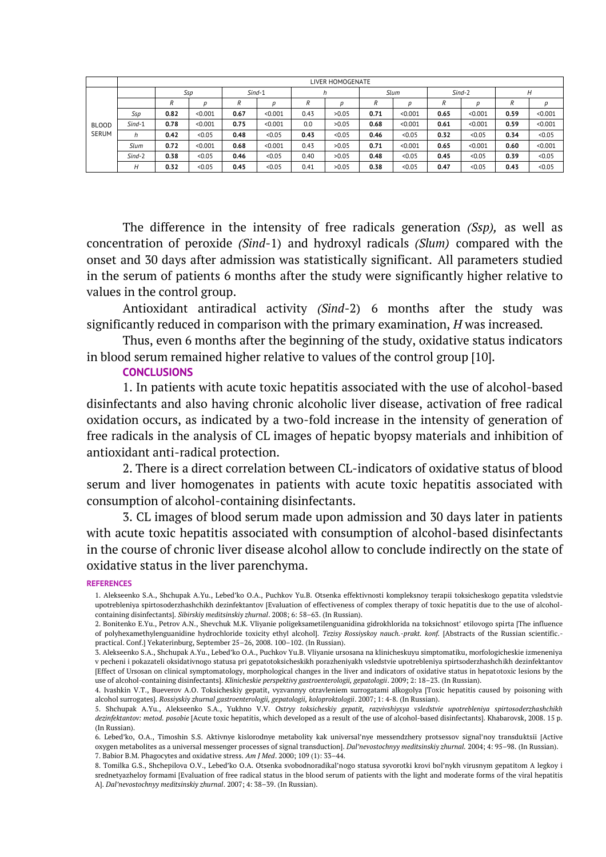|                       | LIVER HOMOGENATE |      |         |      |          |      |        |      |         |      |          |      |         |  |
|-----------------------|------------------|------|---------|------|----------|------|--------|------|---------|------|----------|------|---------|--|
|                       |                  |      | Ssp     |      | $Sind-1$ |      |        |      | Slum    |      | $Sind-2$ |      |         |  |
| <b>BLOOD</b><br>SERUM |                  | R    |         | R    | n        | R    |        | R    | n       | R    | D        | R    |         |  |
|                       | Ssp              | 0.82 | < 0.001 | 0.67 | < 0.001  | 0.43 | >0.05  | 0.71 | < 0.001 | 0.65 | < 0.001  | 0.59 | < 0.001 |  |
|                       | $Sind-1$         | 0.78 | < 0.001 | 0.75 | < 0.001  | 0.0  | >0.05  | 0.68 | < 0.001 | 0.61 | < 0.001  | 0.59 | < 0.001 |  |
|                       | h                | 0.42 | < 0.05  | 0.48 | < 0.05   | 0.43 | < 0.05 | 0.46 | < 0.05  | 0.32 | < 0.05   | 0.34 | < 0.05  |  |
|                       | Slum             | 0.72 | < 0.001 | 0.68 | < 0.001  | 0.43 | >0.05  | 0.71 | < 0.001 | 0.65 | < 0.001  | 0.60 | < 0.001 |  |
|                       | $Sind-2$         | 0.38 | < 0.05  | 0.46 | < 0.05   | 0.40 | >0.05  | 0.48 | < 0.05  | 0.45 | < 0.05   | 0.39 | < 0.05  |  |
|                       | Н                | 0.32 | < 0.05  | 0.45 | < 0.05   | 0.41 | >0.05  | 0.38 | < 0.05  | 0.47 | < 0.05   | 0.43 | < 0.05  |  |

The difference in the intensity of free radicals generation *(Ssp),* as well as concentration of peroxide *(Sind*-1) and hydroxyl radicals *(Slum)* compared with the onset and 30 days after admission was statistically significant. All parameters studied in the serum of patients 6 months after the study were significantly higher relative to values in the control group.

Antioxidant antiradical activity *(Sind*-2) 6 months after the study was significantly reduced in comparison with the primary examination, *H* was increased*.*

Thus, even 6 months after the beginning of the study, oxidative status indicators in blood serum remained higher relative to values of the control group [10].

### **CONCLUSIONS**

1. In patients with acute toxic hepatitis associated with the use of alcohol-based disinfectants and also having chronic alcoholic liver disease, activation of free radical oxidation occurs, as indicated by a two-fold increase in the intensity of generation of free radicals in the analysis of CL images of hepatic byopsy materials and inhibition of antioxidant anti-radical protection.

2. There is a direct correlation between CL-indicators of oxidative status of blood serum and liver homogenates in patients with acute toxic hepatitis associated with consumption of alcohol-containing disinfectants.

3. CL images of blood serum made upon admission and 30 days later in patients with acute toxic hepatitis associated with consumption of alcohol-based disinfectants in the course of chronic liver disease alcohol allow to conclude indirectly on the state of oxidative status in the liver parenchyma.

#### **REFERENCES**

<sup>1.</sup> Alekseenko S.A., Shchupak A.Yu., Lebed'ko O.A., Puchkov Yu.B. Otsenka effektivnosti kompleksnoy terapii toksicheskogo gepatita vsledstvie upotrebleniya spirtosoderzhashchikh dezinfektantov [Evaluation of effectiveness of complex therapy of toxic hepatitis due to the use of alcoholcontaining disinfectants]. *Sibirskiy meditsinskiy zhurnal*. 2008; 6: 58–63. (In Russian).

<sup>2.</sup> Bonitenko E.Yu., Petrov A.N., Shevchuk M.K. Vliyanie poligeksametilenguanidina gidrokhlorida na toksichnost' etilovogo spirta [The influence of polyhexamethylenguanidine hydrochloride toxicity ethyl alcohol]. *Tezisy Rossiyskoy nauch.-prakt. konf.* [Abstracts of the Russian scientific. practical. Conf.] Yekaterinburg, September 25–26, 2008. 100–102. (In Russian).

<sup>3.</sup> Alekseenko S.A., Shchupak A.Yu., Lebed'ko O.A., Puchkov Yu.B. Vliyanie ursosana na klinicheskuyu simptomatiku, morfologicheskie izmeneniya v pecheni i pokazateli oksidativnogo statusa pri gepatotoksicheskikh porazheniyakh vsledstvie upotrebleniya spirtsoderzhashchikh dezinfektantov [Effect of Ursosan on clinical symptomatology, morphological changes in the liver and indicators of oxidative status in hepatotoxic lesions by the use of alcohol-containing disinfectants]. *Klinicheskie perspektivy gastroenterologii, gepatologii*. 2009; 2: 18–23. (In Russian).

<sup>4.</sup> Ivashkin V.T., Bueverov A.O. Toksicheskiy gepatit, vyzvannyy otravleniem surrogatami alkogolya [Toxic hepatitis caused by poisoning with alcohol surrogates]. *Rossiyskiy zhurnal gastroenterologii, gepatologii, koloproktologii*. 2007; 1: 4-8. (In Russian).

<sup>5.</sup> Shchupak A.Yu., Alekseenko S.A., Yukhno V.V. *Ostryy toksicheskiy gepatit, razvivshiysya vsledstvie upotrebleniya spirtosoderzhashchikh dezinfektantov: metod. posobie* [Acute toxic hepatitis, which developed as a result of the use of alcohol-based disinfectants]. Khabarovsk, 2008. 15 p. (In Russian).

<sup>6.</sup> Lebed'ko, O.A., Timoshin S.S. Aktivnye kislorodnye metabolity kak universal'nye messendzhery protsessov signal'noy transduktsii [Active oxygen metabolites as a universal messenger processes of signal transduction]. *Dal'nevostochnyy meditsinskiy zhurnal.* 2004; 4: 95–98. (In Russian). 7. Babior B.M. Phagocytes and oxidative stress. *Am J Med*. 2000; 109 (1): 33–44.

<sup>8.</sup> Tomilka G.S., Shchepilova O.V., Lebed'ko O.A. Otsenka svobodnoradikal'nogo statusa syvorotki krovi bol'nykh virusnym gepatitom A legkoy i srednetyazheloy formami [Evaluation of free radical status in the blood serum of patients with the light and moderate forms of the viral hepatitis A]. *Dal'nevostochnyy meditsinskiy zhurnal*. 2007; 4: 38–39. (In Russian).